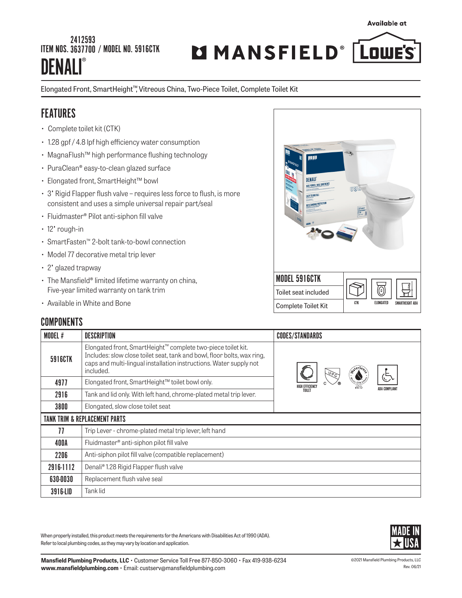#### I **DENALI®** 2412593 ITEM NOS.3637700 / MODEL NO. 5916CTK

# MMANSFIELD® [LOWE'S

**Available at** 

#### Elongated Front, SmartHeight™, Vitreous China, Two-Piece Toilet, Complete Toilet Kit

## **FEATURES**

- Complete toilet kit (CTK)
- 1.28 gpf / 4.8 lpf high efficiency water consumption
- MagnaFlush™ high performance flushing technology
- PuraClean® easy-to-clean glazed surface
- Elongated front, SmartHeight™ bowl
- 3" Rigid Flapper flush valve requires less force to flush, is more consistent and uses a simple universal repair part/seal
- Fluidmaster® Pilot anti-siphon fill valve
- 12" rough-in
- SmartFasten™ 2-bolt tank-to-bowl connection
- Model 77 decorative metal trip lever
- 2" glazed trapway
- The Mansfield® limited lifetime warranty on china, Five-year limited warranty on tank trim
- Available in White and Bone

# **DENALI MAX POWER, MAX CONFIDENCE** EASY TO INSTALL **OUTSTANDING PRO** MODEL 5916CTK Toilet seat included **ELONGATED SMARTHEIGHT AD** Complete Toilet Kit

| <b>COMPONENTS</b> |
|-------------------|
|-------------------|

| <b>MODEL#</b>                            | DESCRIPTION                                                                                                                                                                                                                | <b>CODES/STANDARDS</b>                   |  |  |  |  |
|------------------------------------------|----------------------------------------------------------------------------------------------------------------------------------------------------------------------------------------------------------------------------|------------------------------------------|--|--|--|--|
| 5916CTK                                  | Elongated front, SmartHeight™ complete two-piece toilet kit.<br>Includes: slow close toilet seat, tank and bowl, floor bolts, wax ring,<br>caps and multi-lingual installation instructions. Water supply not<br>included. | 怎                                        |  |  |  |  |
| 4977                                     | Elongated front, SmartHeight™ toilet bowl only.                                                                                                                                                                            | HIGH EFFICIENC<br>ADA COMPLIAN<br>TOILET |  |  |  |  |
| 2916                                     | Tank and lid only. With left hand, chrome-plated metal trip lever.                                                                                                                                                         |                                          |  |  |  |  |
| 3800                                     | Elongated, slow close toilet seat                                                                                                                                                                                          |                                          |  |  |  |  |
| <b>TANK TRIM &amp; REPLACEMENT PARTS</b> |                                                                                                                                                                                                                            |                                          |  |  |  |  |
| 77                                       | Trip Lever - chrome-plated metal trip lever, left hand                                                                                                                                                                     |                                          |  |  |  |  |
| 400A                                     | Fluidmaster® anti-siphon pilot fill valve                                                                                                                                                                                  |                                          |  |  |  |  |
| 2206                                     | Anti-siphon pilot fill valve (compatible replacement)                                                                                                                                                                      |                                          |  |  |  |  |
| 2916-1112                                | Denali <sup>®</sup> 1.28 Rigid Flapper flush valve                                                                                                                                                                         |                                          |  |  |  |  |
| 630-0030                                 | Replacement flush valve seal                                                                                                                                                                                               |                                          |  |  |  |  |
| 3916-LID                                 | Tank lid                                                                                                                                                                                                                   |                                          |  |  |  |  |

When properly installed, this product meets the requirements for the Americans with Disabilities Act of 1990 (ADA). Refer to local plumbing codes, as they may vary by location and application.